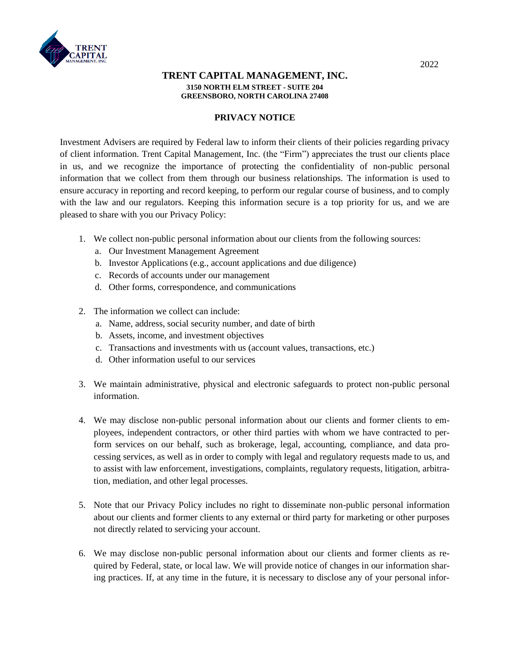

## **TRENT CAPITAL MANAGEMENT, INC. 3150 NORTH ELM STREET - SUITE 204 GREENSBORO, NORTH CAROLINA 27408**

## **PRIVACY NOTICE**

Investment Advisers are required by Federal law to inform their clients of their policies regarding privacy of client information. Trent Capital Management, Inc. (the "Firm") appreciates the trust our clients place in us, and we recognize the importance of protecting the confidentiality of non-public personal information that we collect from them through our business relationships. The information is used to ensure accuracy in reporting and record keeping, to perform our regular course of business, and to comply with the law and our regulators. Keeping this information secure is a top priority for us, and we are pleased to share with you our Privacy Policy:

- 1. We collect non-public personal information about our clients from the following sources:
	- a. Our Investment Management Agreement
	- b. Investor Applications (e.g., account applications and due diligence)
	- c. Records of accounts under our management
	- d. Other forms, correspondence, and communications
- 2. The information we collect can include:
	- a. Name, address, social security number, and date of birth
	- b. Assets, income, and investment objectives
	- c. Transactions and investments with us (account values, transactions, etc.)
	- d. Other information useful to our services
- 3. We maintain administrative, physical and electronic safeguards to protect non-public personal information.
- 4. We may disclose non-public personal information about our clients and former clients to employees, independent contractors, or other third parties with whom we have contracted to perform services on our behalf, such as brokerage, legal, accounting, compliance, and data processing services, as well as in order to comply with legal and regulatory requests made to us, and to assist with law enforcement, investigations, complaints, regulatory requests, litigation, arbitration, mediation, and other legal processes.
- 5. Note that our Privacy Policy includes no right to disseminate non-public personal information about our clients and former clients to any external or third party for marketing or other purposes not directly related to servicing your account.
- 6. We may disclose non-public personal information about our clients and former clients as required by Federal, state, or local law. We will provide notice of changes in our information sharing practices. If, at any time in the future, it is necessary to disclose any of your personal infor-